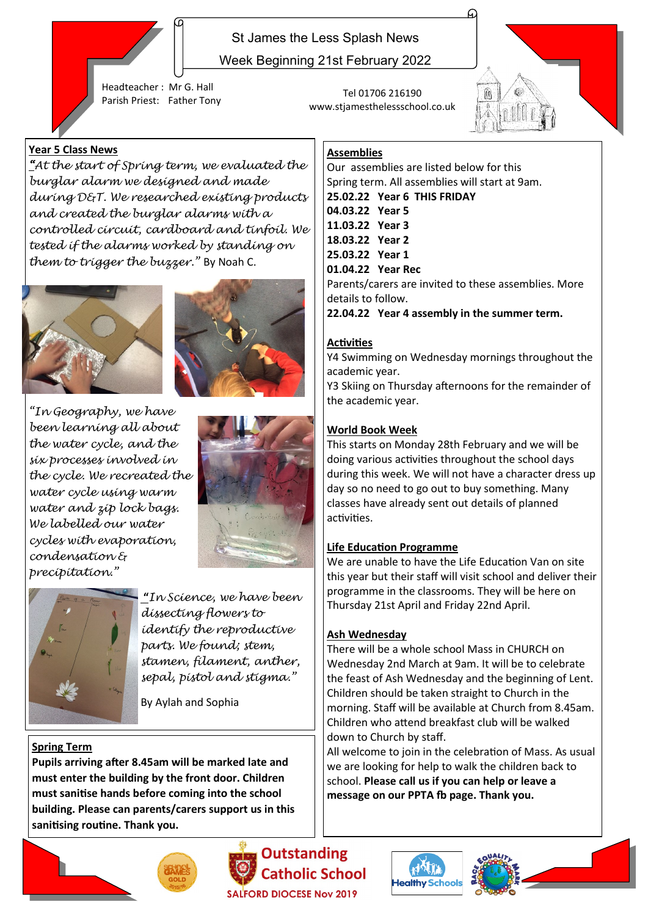

Week Beginning 21st February 2022

Headteacher : Mr G. Hall Parish Priest: Father Tony Tel 01706 216190

## **Year 5 Class News**

*"At the start of Spring term, we evaluated the burglar alarm we designed and made during D&T. We researched existing products and created the burglar alarms with a controlled circuit, cardboard and tinfoil. We tested if the alarms worked by standing on them to trigger the buzzer."* By Noah C.





*"In Geography, we have been learning all about the water cycle, and the six processes involved in the cycle. We recreated the water cycle using warm water and zip lock bags. We labelled our water cycles with evaporation, condensation & precipitation."* 





**"***In Science, we have been dissecting flowers to identify the reproductive parts. We found; stem, stamen, filament, anther, sepal, pistol and stigma."* 

By Aylah and Sophia

### **Spring Term**

**Pupils arriving after 8.45am will be marked late and must enter the building by the front door. Children must sanitise hands before coming into the school building. Please can parents/carers support us in this sanitising routine. Thank you.**



**Outstanding Catholic School** ALFORD DIOCESE Nov 2019



www.stjamesthelessschool.co.uk



### **Assemblies**

Our assemblies are listed below for this Spring term. All assemblies will start at 9am. **25.02.22 Year 6 THIS FRIDAY 04.03.22 Year 5 11.03.22 Year 3 18.03.22 Year 2 25.03.22 Year 1 01.04.22 Year Rec** Parents/carers are invited to these assemblies. More details to follow.

**22.04.22 Year 4 assembly in the summer term.**

### **Activities**

Y4 Swimming on Wednesday mornings throughout the academic year.

Y3 Skiing on Thursday afternoons for the remainder of the academic year.

### **World Book Week**

This starts on Monday 28th February and we will be doing various activities throughout the school days during this week. We will not have a character dress up day so no need to go out to buy something. Many classes have already sent out details of planned activities.

### **Life Education Programme**

We are unable to have the Life Education Van on site this year but their staff will visit school and deliver their programme in the classrooms. They will be here on Thursday 21st April and Friday 22nd April.

### **Ash Wednesday**

There will be a whole school Mass in CHURCH on Wednesday 2nd March at 9am. It will be to celebrate the feast of Ash Wednesday and the beginning of Lent. Children should be taken straight to Church in the morning. Staff will be available at Church from 8.45am. Children who attend breakfast club will be walked down to Church by staff.

All welcome to join in the celebration of Mass. As usual we are looking for help to walk the children back to school. **Please call us if you can help or leave a message on our PPTA fb page. Thank you.**